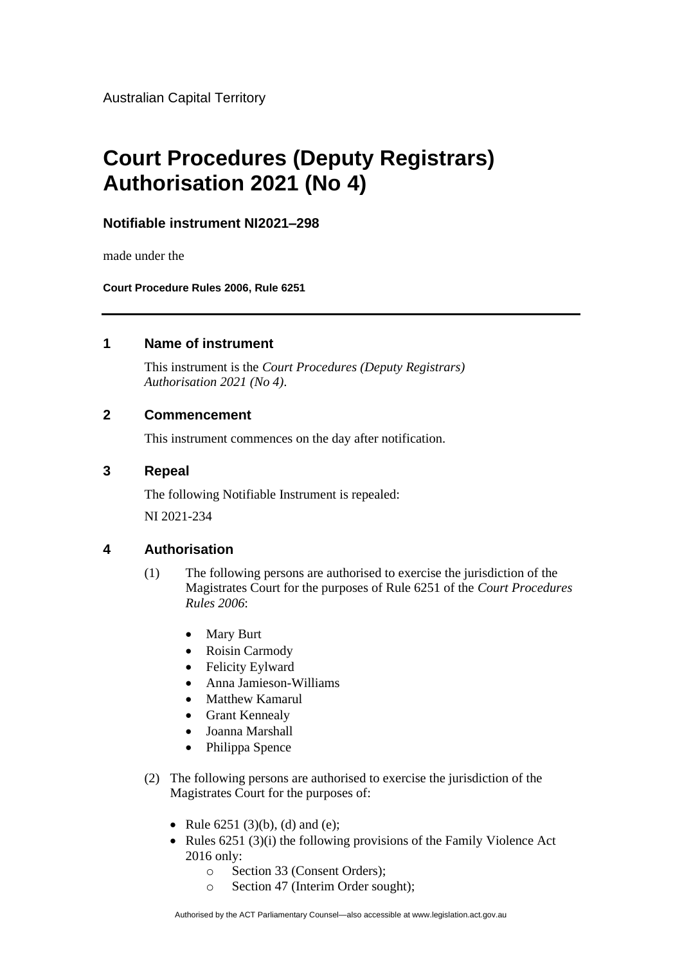Australian Capital Territory

# **Court Procedures (Deputy Registrars) Authorisation 2021 (No 4)**

## **Notifiable instrument NI2021–298**

made under the

**Court Procedure Rules 2006, Rule 6251**

#### **1 Name of instrument**

This instrument is the *Court Procedures (Deputy Registrars) Authorisation 2021 (No 4)*.

#### **2 Commencement**

This instrument commences on the day after notification.

### **3 Repeal**

The following Notifiable Instrument is repealed: NI 2021-234

#### **4 Authorisation**

- (1) The following persons are authorised to exercise the jurisdiction of the Magistrates Court for the purposes of Rule 6251 of the *Court Procedures Rules 2006*:
	- Mary Burt
	- Roisin Carmody
	- Felicity Eylward
	- Anna Jamieson-Williams
	- Matthew Kamarul
	- Grant Kennealy
	- Joanna Marshall
	- Philippa Spence
- (2) The following persons are authorised to exercise the jurisdiction of the Magistrates Court for the purposes of:
	- Rule  $6251 (3)(b)$ , (d) and (e);
	- Rules 6251 (3)(i) the following provisions of the Family Violence Act 2016 only:
		- o Section 33 (Consent Orders);
		- o Section 47 (Interim Order sought);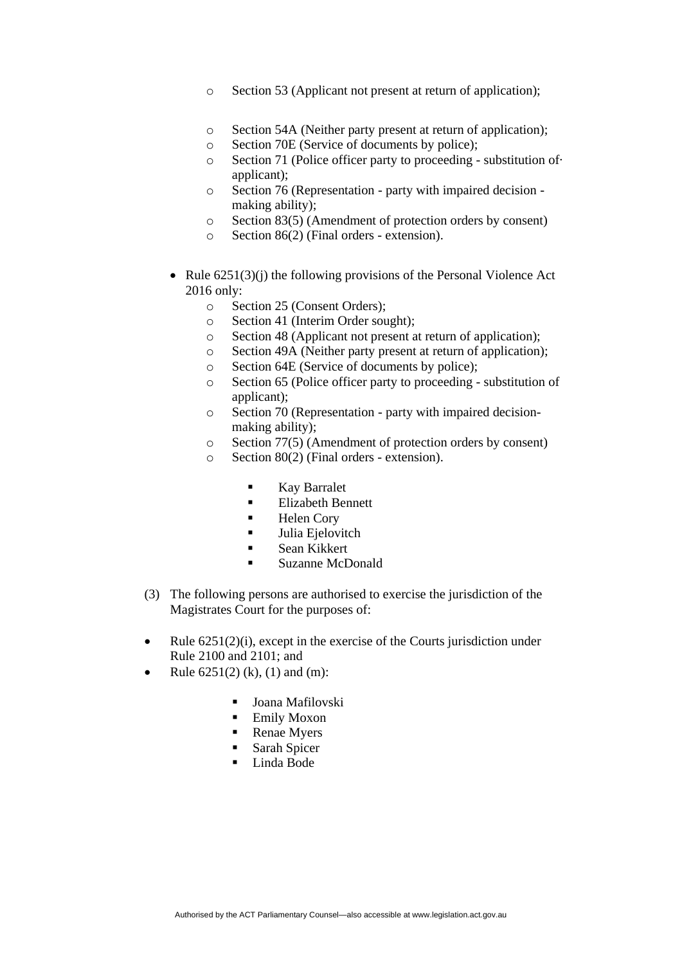- o Section 53 (Applicant not present at return of application);
- o Section 54A (Neither party present at return of application);
- o Section 70E (Service of documents by police);
- o Section 71 (Police officer party to proceeding substitution of· applicant);
- o Section 76 (Representation party with impaired decision making ability);
- o Section 83(5) (Amendment of protection orders by consent)
- o Section 86(2) (Final orders extension).
- Rule  $6251(3)(i)$  the following provisions of the Personal Violence Act 2016 only:
	- o Section 25 (Consent Orders);
	- o Section 41 (Interim Order sought);
	- o Section 48 (Applicant not present at return of application);
	- o Section 49A (Neither party present at return of application);
	- o Section 64E (Service of documents by police);
	- o Section 65 (Police officer party to proceeding substitution of applicant);
	- o Section 70 (Representation party with impaired decisionmaking ability);
	- o Section 77(5) (Amendment of protection orders by consent)
	- o Section 80(2) (Final orders extension).
		- Kay Barralet
		- Elizabeth Bennett
		- Helen Cory
		- **■** Julia Ejelovitch
		- Sean Kikkert
		- Suzanne McDonald
- (3) The following persons are authorised to exercise the jurisdiction of the Magistrates Court for the purposes of:
- Rule  $6251(2)(i)$ , except in the exercise of the Courts jurisdiction under Rule 2100 and 2101; and
- Rule  $6251(2)$  (k), (1) and (m):
	- Joana Mafilovski
	- **Emily Moxon**
	- Renae Myers
	- Sarah Spicer
	- Linda Bode